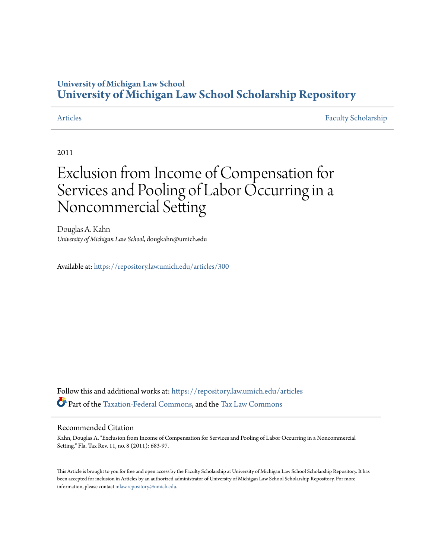### **University of Michigan Law School [University of Michigan Law School Scholarship Repository](https://repository.law.umich.edu?utm_source=repository.law.umich.edu%2Farticles%2F300&utm_medium=PDF&utm_campaign=PDFCoverPages)**

[Articles](https://repository.law.umich.edu/articles?utm_source=repository.law.umich.edu%2Farticles%2F300&utm_medium=PDF&utm_campaign=PDFCoverPages) [Faculty Scholarship](https://repository.law.umich.edu/faculty_scholarship?utm_source=repository.law.umich.edu%2Farticles%2F300&utm_medium=PDF&utm_campaign=PDFCoverPages)

2011

## Exclusion from Income of Compensation for Services and Pooling of Labor Occurring in a Noncommercial Setting

Douglas A. Kahn *University of Michigan Law School*, dougkahn@umich.edu

Available at: <https://repository.law.umich.edu/articles/300>

Follow this and additional works at: [https://repository.law.umich.edu/articles](https://repository.law.umich.edu/articles?utm_source=repository.law.umich.edu%2Farticles%2F300&utm_medium=PDF&utm_campaign=PDFCoverPages) Part of the [Taxation-Federal Commons](http://network.bepress.com/hgg/discipline/881?utm_source=repository.law.umich.edu%2Farticles%2F300&utm_medium=PDF&utm_campaign=PDFCoverPages), and the [Tax Law Commons](http://network.bepress.com/hgg/discipline/898?utm_source=repository.law.umich.edu%2Farticles%2F300&utm_medium=PDF&utm_campaign=PDFCoverPages)

#### Recommended Citation

Kahn, Douglas A. "Exclusion from Income of Compensation for Services and Pooling of Labor Occurring in a Noncommercial Setting." Fla. Tax Rev. 11, no. 8 (2011): 683-97.

This Article is brought to you for free and open access by the Faculty Scholarship at University of Michigan Law School Scholarship Repository. It has been accepted for inclusion in Articles by an authorized administrator of University of Michigan Law School Scholarship Repository. For more information, please contact [mlaw.repository@umich.edu.](mailto:mlaw.repository@umich.edu)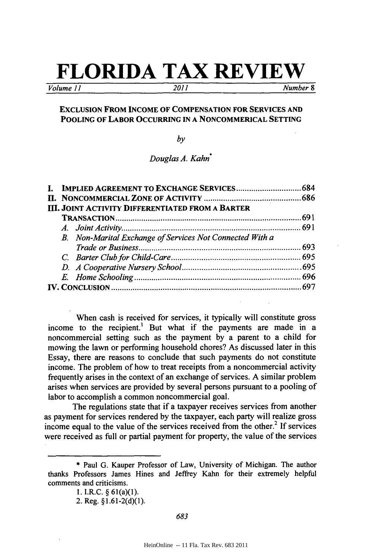# **FLORIDA TAX REVIEW**

*Volume 11 2011 Number 8*

### **EXCLUSION FROM INCOME OF COMPENSATION FOR SERVICES AND POOLING OF LABOR OCCURRING IN A NONCOMMERICAL SETTING**

*by*

*Douglas A. Kahn\**

|  |  | <b>III. JOINT ACTIVITY DIFFERENTIATED FROM A BARTER</b>  |  |
|--|--|----------------------------------------------------------|--|
|  |  |                                                          |  |
|  |  |                                                          |  |
|  |  | B. Non-Marital Exchange of Services Not Connected With a |  |
|  |  |                                                          |  |
|  |  |                                                          |  |
|  |  |                                                          |  |
|  |  |                                                          |  |
|  |  |                                                          |  |

When cash is received for services, it typically will constitute gross income to the recipient.' But what if the payments are made in a noncommercial setting such as the payment **by** a parent to a child for mowing the lawn or performing household chores? As discussed later in this Essay, there are reasons to conclude that such payments do not constitute income. The problem of how to treat receipts from a noncommercial activity frequently arises in the context of an exchange of services. **A** similar problem arises when services are provided **by** several persons pursuant to a pooling of labor to accomplish a common noncommercial goal.

The regulations state that if a taxpayer receives services from another as payment for services rendered **by** the taxpayer, each party will realize gross income equal to the value of the services received from the other.<sup>2</sup> If services were received as full or partial payment for property, the value of the services

**<sup>\*</sup>** Paul **G.** Kauper Professor of Law, University of Michigan. The author thanks Professors James Hines and Jeffrey Kahn for their extremely helpful comments and criticisms.

**<sup>1.</sup>** I.R.C. **§** 61(a)(1).

<sup>2.</sup> Reg. **§1.61-2(d)(1).**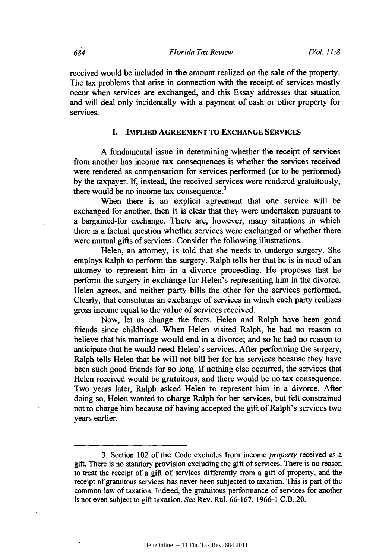received would be included in the amount realized on the sale of the property. The tax problems that arise in connection with the receipt of services mostly occur when services are exchanged, and this Essay addresses that situation and will deal only incidentally with a payment of cash or other property for services.

#### **I. IMPLIED AGREEMENT TO EXCHANGE SERVICES**

**A** fundamental issue in determining whether the receipt of services from another has income tax consequences is whether the services received were rendered as compensation for services performed (or to be performed) **by** the taxpayer. **If,** instead, the received services were rendered gratuitously, there would be no income tax consequence.<sup>3</sup>

When there is an explicit agreement that one service will be exchanged for another, then it is clear that they were undertaken pursuant to a bargained-for exchange. There are, however, many situations in which there is a factual question whether services were exchanged or whether there were mutual gifts of services. Consider the following illustrations.

Helen, an attorney, is told that she needs to undergo surgery. She employs Ralph to perform the surgery. Ralph tells her that he is in need of an attorney to represent him in a divorce proceeding. He proposes that he perform the surgery in exchange for Helen's representing him in the divorce. Helen agrees, and neither party bills the other for the services performed. Clearly, that constitutes an exchange of services in which each party realizes gross income equal to the value of services received.

Now, let us change the facts. Helen and Ralph have been good friends since childhood. When Helen visited Ralph, he had no reason to believe that his marriage would end in a divorce; and so he had no reason to anticipate that he would need Helen's services. After performing the surgery, Ralph tells Helen that he will not bill her for his services because they have been such good friends for so long. **If** nothing else occurred, the services that Helen received would be gratuitous, and there would be no tax consequence. Two years later, Ralph asked Helen to represent him in a divorce. After doing so, Helen wanted to charge Ralph for her services, but felt constrained not to charge him because of having accepted the gift of Ralph's services two years earlier.

**<sup>3.</sup>** Section 102 of the Code excludes from income *property* received as a gift. There is no statutory provision excluding the gift of services. There is no reason to treat the receipt of a gift of services differently from a gift of property, and the receipt of gratuitous services has never been subjected to taxation. This is part of the common law of taxation. Indeed, the gratuitous performance of services for another is not even subject to gift taxation. *See* Rev. Rul. **66-167, 1966-1** C.B. 20.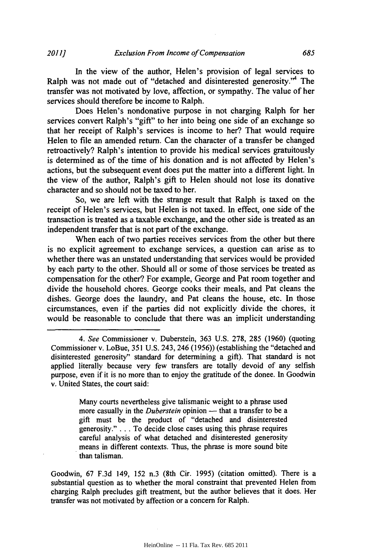In the view of the author, Helen's provision of legal services to Ralph was not made out of "detached and disinterested generosity."' The transfer was not motivated **by** love, affection, or sympathy. The value of her services should therefore be income to Ralph.

Does Helen's nondonative purpose in not charging Ralph for her services convert Ralph's "gift" to her into being one side of an exchange so that her receipt of Ralph's services is income to her? That would require Helen to file an amended return. Can the character of a transfer be changed retroactively? Ralph's intention to provide his medical services gratuitously is determined as of the time of his donation and is not affected **by** Helen's actions, but the subsequent event does put the matter into a different light. In the view of the author, Ralph's gift to Helen should not lose its donative character and so should not be taxed to her.

So, we are left with the strange result that Ralph is taxed on the receipt of Helen's services, but Helen is not taxed. In effect, one side of the transaction is treated as a taxable exchange, and the other side is treated as an independent transfer that is not part of the exchange.

When each of two parties receives services from the other but there is no explicit agreement to exchange services, a question can arise as to whether there was an unstated understanding that services would be provided **by** each party to the other. Should all or some of those services be treated as compensation for the other? For example, George and Pat room together and divide the household chores. George cooks their meals, and Pat cleans the dishes. George does the laundry, and Pat cleans the house, etc. In those circumstances, even if the parties did not explicitly divide the chores, it would be reasonable to conclude that there was an implicit understanding

Many courts nevertheless give talismanic weight to a phrase used more casually in the *Duberstein* opinion — that a transfer to be a gift must be the product of "detached and disinterested generosity." **. . .** To decide close cases using this phrase requires careful analysis of what detached and disinterested generosity means in different contexts. Thus, the phrase is more sound bite than talisman.

Goodwin, **67 F.3d** 149, **152** n.3 (8th Cir. **1995)** (citation omitted). There is a substantial question as to whether the moral constraint that prevented Helen from charging Ralph precludes gift treatment, but the author believes that it does. Her transfer was not motivated **by** affection or a concern for Ralph.

*<sup>4.</sup> See* Commissioner v. Duberstein, **363 U.S. 278, 285 (1960)** (quoting Commissioner v. LoBue, **351 U.S.** 243, 246 *(1956))* (establishing the "detached and disinterested generosity" standard for determining a gift). That standard is not applied literally because very few transfers are totally devoid of any selfish purpose, even if it is no more than to enjoy the gratitude of the donee. In Goodwin v. United States, the court said: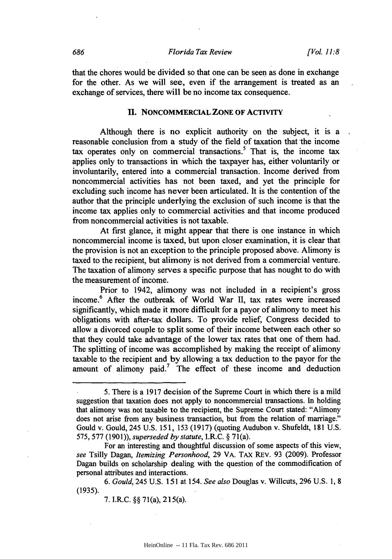that the chores would be divided so that one can be seen as done in exchange for the other. As we will see, even if the arrangement is treated as an exchange of services, there will be no income tax consequence.

#### **II. NONCOMMERCIAL ZONE OF ACTIVITY**

Although there is no explicit authority on the subject, it is a reasonable conclusion from a study of the field of taxation that the income tax operates only on commercial transactions.<sup>5</sup> That is, the income tax applies only to transactions in which the taxpayer has, either voluntarily or involuntarily, entered into a commercial transaction. Income derived from noncommercial activities has not been taxed, and yet the principle for excluding such income has never been articulated. It is the contention of the author that the principle underlying the exclusion of such income is that the income tax applies only to commercial activities and that income produced from noncommercial activities is not taxable.

At first glance, it might appear that there is one instance in which noncommercial income is taxed, but upon closer examination, it is clear that the provision is not an exception to the principle proposed above. Alimony is taxed to the recipient, but alimony is not derived from a commercial venture. The taxation of alimony serves a specific purpose that has nought to do with the measurement of income.

Prior to 1942, alimony was not included in a recipient's gross income.6 After the outbreak of World War **II,** tax rates were increased significantly, which made it more difficult for a payor of alimony to meet his obligations with after-tax dollars. To provide relief, Congress decided to allow a divorced couple to split some of their income between each other so that they could take advantage of the lower tax rates that one of them had. The splitting of income was accomplished **by** making the receipt of alimony taxable to the recipient and **by** allowing a tax deduction to the payor for the amount of alimony paid.<sup>7</sup> The effect of these income and deduction

For an interesting and thoughtful discussion of some aspects of this view, *see* Tsilly Dagan, *Itemizing Personhood,* **29** VA. TAX REv. **93 (2009).** Professor Dagan builds on scholarship dealing with the question of the commodification of personal attributes and interactions.

*6. Gould,* 245 **U.S. 151** at *154. See also* Douglas v. Willcuts, **296 U.S. 1, 8 (1935).**

**7.** I.R.C. **§§** 71(a), 215(a).

**S.** There is a **1917** decision of the Supreme Court in which there is a mild suggestion that taxation does not apply to noncommercial transactions. In holding that alimony was not taxable to the recipient, the Supreme Court stated: "Alimony does not arise from any business transaction, but from the relation of marriage." Gould v. Gould, 245 **U.S. 151, 153 (1917)** (quoting Audubon v. Shufeldt, **181 U.S.** *575,* **577 (1901)),** *superseded by statute, I.R.C.* **§** 71(a).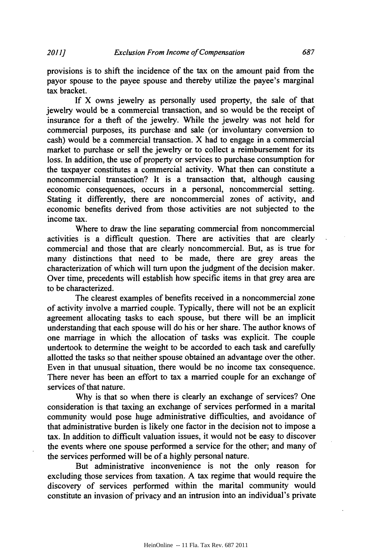provisions is to shift the incidence of the tax on the amount paid from the payor spouse to the payee spouse and thereby utilize the payee's marginal tax bracket.

**If** X owns jewelry as personally used property, the sale of that jewelry would be a commercial transaction, and so would be the receipt of insurance for a theft of the jewelry. While the jewelry was not held for commercial purposes, its purchase and sale (or involuntary conversion to cash) would be a commercial transaction. X had to engage in a commercial market to purchase or sell the jewelry or to collect a reimbursement for its loss. In addition, the use of property or services to purchase consumption for the taxpayer constitutes a commercial activity. What then can constitute a noncommercial transaction? It is a transaction that, although causing economic consequences, occurs in a personal, noncommercial setting. Stating it differently, there are noncommercial zones of activity, and economic benefits derived from those activities are not subjected to the income tax.

Where to draw the line separating commercial from noncommercial activities is a difficult question. There are activities that are clearly commercial and those that are clearly noncommercial. But, as is true for many distinctions that need to be made, there are grey areas the characterization of which will turn upon the judgment of the decision maker. Over time, precedents will establish how specific items in that grey area are to be characterized.

The clearest examples of benefits received in a noncommercial zone of activity involve a married couple. Typically, there will not be an explicit agreement allocating tasks to each spouse, but there will be an implicit understanding that each spouse will do his or her share. The author knows of one marriage in which the allocation of tasks was explicit. The couple undertook to determine the weight to be accorded to each task and carefully allotted the tasks so that neither spouse obtained an advantage over the other. Even in that unusual situation, there would be no income tax consequence. There never has been an effort to tax a married couple for an exchange of services of that nature.

**Why** is that so when there is clearly an exchange of services? One consideration is that taxing an exchange of services performed in a marital community would pose huge administrative difficulties, and avoidance of that administrative burden is likely one factor in the decision not to impose a tax. In addition to difficult valuation issues, it would not be easy to discover the events where one spouse performed a service for the other; and many of the services performed will be of a **highly** personal nature.

But administrative inconvenience is not the only reason for excluding those services from taxation. **A** tax regime that would require the discovery of services performed within the marital community would constitute an invasion of privacy and an intrusion into an individual's private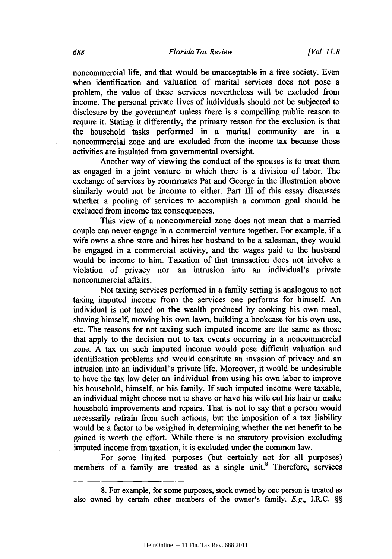noncommercial life, and that would be unacceptable in a free society. Even when identification and valuation of marital services does not pose a problem, the value of these services nevertheless will be excluded from income. The personal private lives of individuals should not be subjected to disclosure **by** the government unless there is a compelling public reason to require it. Stating it differently, the primary reason for the exclusion is that the household tasks performed in a marital community are in a noncommercial zone and are excluded from the income tax because those activities are insulated from governmental oversight.

Another way of viewing the conduct of the spouses is to treat them as engaged in a joint venture in which there is a division of labor. The exchange of services **by** roommates Pat and George in the illustration above similarly would not be income to either. Part HI of this essay discusses whether a pooling of services to accomplish a common goal should be excluded from income tax consequences.

This view of a noncommercial zone does not mean that a married couple can never engage in a commercial venture together. For example, if a wife owns a shoe store and hires her husband to be a salesman, they would be engaged in a commercial activity, and the wages paid to the husband would be income to him. Taxation of that transaction does not involve a violation of privacy nor an intrusion into an individual's private noncommercial affairs.

Not taxing services performed in a family setting is analogous to not taxing imputed income from the services one performs for himself. An individual is not taxed on the wealth produced **by** cooking his own meal, shaving himself, mowing his own lawn, building a bookcase for his own use, etc. The reasons for not taxing such imputed income are the same as those that apply to the decision not to tax events occurring in a noncommercial zone. **A** tax on such imputed income would pose difficult valuation and identification problems and would constitute an invasion of privacy and an intrusion into an individual's private life. Moreover, it would be undesirable to have the tax law deter an individual from using his own labor to improve his household, himself, or his family. **If** such imputed income were taxable, an individual might choose not to shave or have his wife cut his hair or make household improvements and repairs. That is not to say that a person would necessarily refrain from such actions, but the imposition of a tax liability would be a factor to be weighed in determining whether the net benefit to be gained is worth the effort. While there is no statutory provision excluding imputed income from taxation, it is excluded under the common law.

For some limited purposes (but certainly not for all purposes) members of a family are treated as a single unit.<sup>8</sup> Therefore, services

**<sup>8.</sup>** For example, for some purposes, stock owned **by** one person is treated as also owned **by** certain other members of the owner's family. *E.g.,* I.R.C. **§§**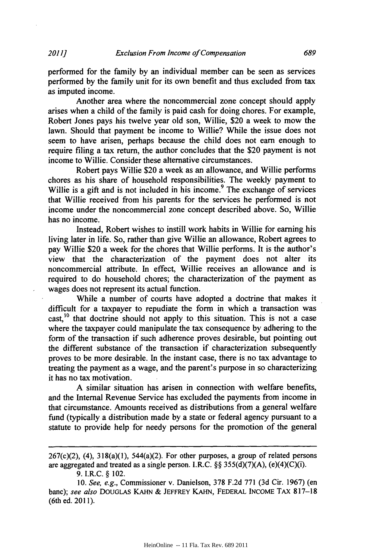performed for the family **by** an individual member can be seen as services performed **by** the family unit for its own benefit and thus excluded from tax as imputed income.

Another area where the noncommercial zone concept should apply arises when a child of the family is paid cash for doing chores. For example, Robert Jones pays his twelve year old son, Willie, \$20 a week to mow the lawn. Should that payment be income to Willie? While the issue does not seem to have arisen, perhaps because the child does not earn enough to require filing a tax return, the author concludes that the \$20 payment is not income to Willie. Consider these alternative circumstances.

Robert pays Willie \$20 a week as an allowance, and Willie performs chores as his share of household responsibilities. The weekly payment to Willie is a gift and is not included in his income.<sup>9</sup> The exchange of services that Willie received from his parents for the services he performed is not income under the noncommercial zone concept described above. So, Willie has no income.

Instead, Robert wishes to instill work habits in Willie for earning his living later in life. So, rather than give Willie an allowance, Robert agrees to pay Willie \$20 a week for the chores that Willie performs. It is the author's view that the characterization of the payment does not alter its noncommercial attribute. In effect, Willie receives an allowance and is required to do household chores; the characterization of the payment as wages does not represent its actual function.

While a number of courts have adopted a doctrine that makes it difficult for a taxpayer to repudiate the form in which a transaction was cast,<sup>10</sup> that doctrine should not apply to this situation. This is not a case where the taxpayer could manipulate the tax consequence **by** adhering to the form of the transaction if such adherence proves desirable, but pointing out the different substance of the transaction if characterization subsequently proves to be more desirable. In the instant case, there is no tax advantage to treating the payment as a wage, and the parent's purpose in so characterizing it has no tax motivation.

**A** similar situation has arisen in connection with welfare benefits, and the Internal Revenue Service has excluded the payments from income in that circumstance. Amounts received as distributions from a general welfare fund (typically a distribution made **by** a state or federal agency pursuant to a statute to provide help for needy persons for the promotion of the general

**9.** I.R.C. **§** 102.

<sup>267(</sup>c)(2), (4), 318(a)(1), *544(a)(2).* For other purposes, a group of related persons are aggregated and treated as a single person. I.R.C. **§§ 355(d)(7)(A),** (e)(4)(C)(i).

*<sup>10.</sup> See, e.g.,* Commissioner v. Danielson, **378 F.2d 771 (3d** Cir. **1967)** (en banc); *see also* **DOUGLAS KAHN & JEFFREY KAHN,** FEDERAL INCOME TAx **817-18** (6th ed. **2011).**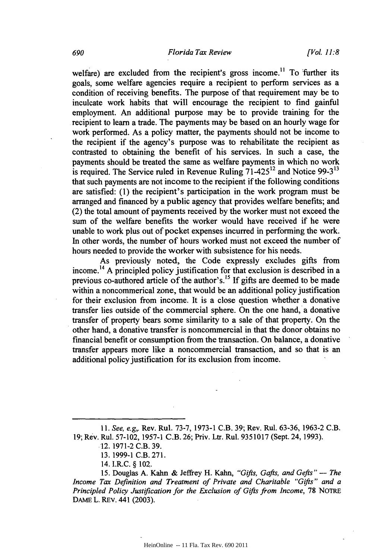welfare) are excluded from the recipient's gross income.<sup>11</sup> To further its goals, some welfare agencies require a recipient to perform services as a condition of receiving benefits. The purpose of that requirement may be to inculcate work habits that will encourage the recipient to find gainful employment. An additional purpose may be to provide training for the recipient to learn a trade. The payments may be based on an hourly wage for work performed. As a policy matter, the payments should not be income to the recipient if the agency's purpose was to rehabilitate the recipient as contrasted to obtaining the benefit of his services. In such a case, the payments should be treated the same as welfare payments in which no work is required. The Service ruled in Revenue Ruling 71-42512 and Notice **99-3"** that such payments are not income to the recipient if the following conditions are satisfied: **(1)** the recipient's participation in the work program must be arranged and financed **by** a public agency that provides welfare benefits; and (2) the total amount of payments received **by** the worker must not exceed the sum of the welfare benefits the worker would have received if he were unable to work plus out of pocket expenses incurred in performing the work. In other words, the number of hours worked must not exceed the number of hours needed to provide the worker with subsistence for his needs.

As previously noted, the Code expressly excludes gifts from income.14 **A** principled policy justification for that exclusion is described in a previous co-authored article of the author's.'5 **If** gifts are deemed to be made within a noncommerical zone, that would be an additional policy justification for their exclusion from income. It is a close question whether a donative transfer lies outside of the commercial sphere. On the one hand, a donative transfer of property bears some similarity to a sale of that property. On the other hand, a donative transfer is noncommercial in that the donor obtains no financial benefit or consumption from the transaction. On balance, a donative transfer appears more like a noncommercial transaction, and so that is an additional policy justification for its exclusion from income.

*<sup>11.</sup> See, e.g,.* Rev. Rul. **73-7, 1973-1** C.B. **39;** Rev. Rul. **63-36, 1963-2** C.B. **19;** Rev. Rul. **57-102, 1957-1** C.B. **26;** Priv. Ltr. Rul. **9351017** (Sept. 24, **1993).**

**<sup>12. 1971-2</sup>** C.B. **39.**

**<sup>13. 1999-1</sup>** C.B. **271.**

<sup>14.</sup> I.R.C. **§** 102.

*<sup>15.</sup>* Douglas **A.** Kahn **&** Jeffrey H. Kahn, *"Gifts, Gafts, and Gefts"* - *The Income Tax Definition and Treatment of Private and Charitable "Gifts" and a Principled Policy Justification for the Exclusion of Gifts from Income,* **78** NOTRE **DAME** L. REv. 441 **(2003).**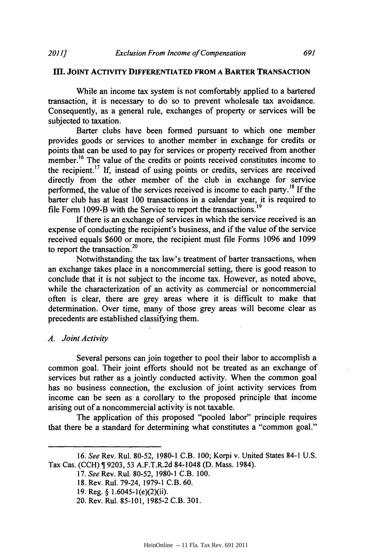#### **III. JOINT ACTIVITY DIFFERENTIATED FROM A BARTER TRANSACTION**

While an income tax system is not comfortably applied to a bartered transaction, it is necessary to do so to prevent wholesale tax avoidance. Consequently, as a general rule, exchanges of property or services will be subjected to taxation.

Barter clubs have been formed pursuant to which one member provides goods or services to another member in exchange for credits or points that can be used to pay for services or property received from another member.<sup>16</sup> The value of the credits or points received constitutes income to the recipient. <sup>7</sup>**If,** instead of using points or credits, services are received directly from the other member of the club in exchange for service performed, the value of the services received is income to each party. **If** the barter club has at least **100** transactions in a calendar year, it is required to file Form 1099-B with the Service to report the transactions.<sup>19</sup>

**If** there is an exchange of services in which the service received is an expense of conducting the recipient's business, and if the value of the service received equals **\$600** or more, the recipient must file Forms **1096** and **1099** to report the transaction.<sup>20</sup>

Notwithstanding the tax law's treatment of barter transactions, when an exchange takes place in a noncommercial setting, there is good reason to conclude that it is not subject to the income tax. However, as noted above, while the characterization of an activity as commercial or noncommercial often is clear, there are grey areas where it is difficult to make that determination. Over time, many of those grey areas will become clear as precedents are established classifying them.

#### *A. Joint Activity*

Several persons can join together to pool their labor to accomplish a common goal. Their joint efforts should not be treated as an exchange of services but rather as a jointly conducted activity. When the common goal has no business connection, the exclusion of joint activity services from income can be seen as a corollary to the proposed principle that income arising out of a noncommercial activity is not taxable.

The application of this proposed "pooled labor" principle requires that there be a standard for determining what constitutes a "common goal."

*<sup>16.</sup> See* Rev. Rul. **80-52, 1980-1** C.B. **100;** Korpi v. United States 84-1 **U.S.** Tax Cas. **(CCH)** T **9203, 53** A.F.T.R.2d 84-1048 **(D.** Mass. 1984).

*<sup>17.</sup> See* Rev. Rul. **80-52, 1980-1** C.B. **100.**

**<sup>18.</sup>** Rev. Rul. 79-24, **1979-1** C.B. **60.**

**<sup>19.</sup>** Reg. **§** 1.6045-1(e)(2)(ii).

<sup>20.</sup> Rev. Rul. **85-101, 1985-2** C.B. **301.**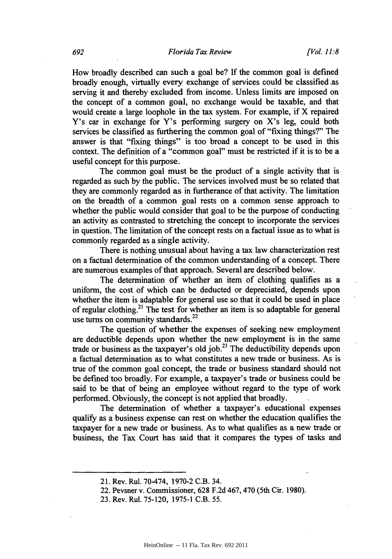How broadly described can such a goal be? **If** the common goal is defined broadly enough, virtually every exchange of services could be classified-as serving it and thereby excluded from income. Unless limits are imposed on the concept of a common goal, no exchange would be taxable, and that would create a large loophole in the tax system. For example, if X repaired Y's car in exchange for Y's performing surgery on X's leg, could both services be classified as furthering the common goal of "fixing things?" The answer is that "fixing things" is too broad a concept to be used in this context. The definition of a "common goal" must be restricted if it is to be a useful concept for this purpose.

The common goal must be the product of a single activity that is regarded as such **by** the public. The services involved must be so related that they are commonly regarded as in furtherance of that activity. The limitation on the breadth of a common goal rests on a common sense approach to whether the public would consider that goal to be the purpose of conducting an activity as contrasted to stretching the concept to incorporate the services in question. The limitation of the concept rests on a factual issue as to what is commonly regarded as a single activity.

There is nothing unusual about having a tax law characterization rest on a factual determination of the common understanding of a concept. There are numerous examples of that approach. Several are described below.

The determination of whether an item of clothing qualifies as a uniform, the cost of which can be deducted or depreciated, depends upon whether the item is adaptable for general use so that it could be used in place of regular clothing.21 The test for whether an item is so adaptable for general use turns on community standards. $^{22}$ 

The question of whether the expenses of seeking new employment are deductible depends upon whether the new employment is in the same trade or business as the taxpayer's old **job.23** The deductibility depends upon a factual determination as to what constitutes a new trade or business. As is true of the common goal concept, the trade or business standard should not be defined too broadly. For example, a taxpayer's trade or business could be said to be that of being an employee without regard to the type of work performed. Obviously, the concept is not applied that broadly.

The determination of whether a taxpayer's educational expenses qualify as a business expense can rest on whether the education qualifies the taxpayer for a new trade or business. As to what qualifies as a new trade or business, the Tax Court has said that it compares the types of tasks and

<sup>21.</sup> Rev. Rul. 70-474, **1970-2** C.B. 34.

<sup>22.</sup> Pevsner v. Commissioner, **628 F.2d** 467, 470 (5th Cir. **1980).**

**<sup>23.</sup>** Rev. Rul. **75-120, 1975-1** C.B. *55.*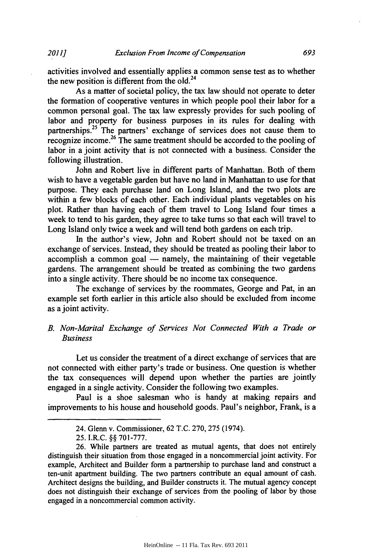activities involved and essentially applies a common sense test as to whether the new position is different from the old. $^{24}$ 

As a matter of societal policy, the tax law should not operate to deter the formation of cooperative ventures in which people pool their labor for a common personal goal. The tax law expressly provides for such pooling of labor and property for business purposes in its rules for dealing with partnerships.<sup>25</sup> The partners' exchange of services does not cause them to **Produce** income.<sup>26</sup> The same treatment should be accorded to the pooling of labor in a joint activity that is not connected with a business. Consider the following illustration.

John and Robert live in different parts of Manhattan. Both of them wish to have a vegetable garden but have no land in Manhattan to use for that purpose. They each purchase land on Long Island, and the two plots are within a few blocks of each other. Each individual plants vegetables on his plot. Rather than having each of them travel to Long Island four times a week to tend to his garden, they agree to take turns so that each will travel to Long Island only twice a week and will tend both gardens on each trip.

In the author's view, John and Robert should not be taxed on an exchange of services. Instead, they should be treated as pooling their labor to accomplish a common goal **-** namely, the maintaining of their vegetable gardens. The arrangement should be treated as combining the two gardens into a single activity. There should be no income tax consequence.

The exchange of services **by** the roommates, George and Pat, in an example set forth earlier in this article also should be excluded from income as a joint activity.

#### *B. Non-Marital Exchange of Services Not Connected With a Trade or Business*

Let us consider the treatment of a direct exchange of services that are not connected with either party's trade or business. One question is whether the tax consequences will depend upon whether the parties are jointly engaged in a single activity. Consider the following two examples.

Paul is a shoe salesman who is handy at making repairs and improvements to his house and household goods. Paul's neighbor, Frank, is a

<sup>24.</sup> Glenn v. Commissioner, **62 T.C. 270,275** (1974).

**<sup>25.</sup>** I.R.C. **§§ 701-777.**

**<sup>26.</sup>** While partners are treated as mutual agents, that does not entirely distinguish their situation from those engaged in a noncommercial joint activity. For example, Architect and Builder form a partnership to purchase land and construct a ten-unit apartment building. The two partners contribute an equal amount of cash. Architect designs the building, and Builder constructs it. The mutual agency concept does not distinguish their exchange of services from the pooling of labor **by** those engaged in a noncommercial common activity.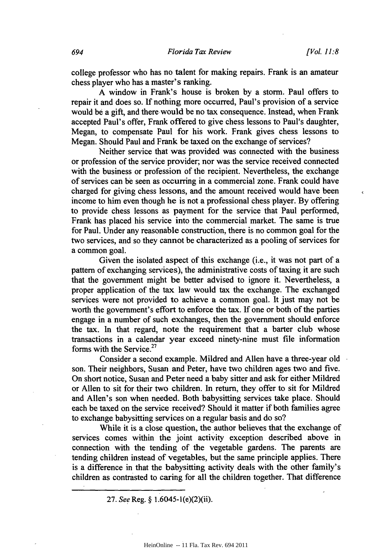college professor who has no talent for making repairs. Frank is an amateur chess player who has a master's ranking.

**A** window in Frank's house is broken **by** a storm. Paul offers to repair it and does so. **If** nothing more occurred, Paul's provision of a service would **be** a gift, and there would be no tax consequence. Instead, when Frank accepted Paul's offer, Frank offered to give chess lessons to Paul's daughter, Megan, to compensate Paul for his work. Frank gives chess lessons to Megan. Should Paul and Frank be taxed on the exchange of services?

Neither service that was provided was connected with the business or profession of the service provider; nor was the service received connected with the business or profession of the recipient. Nevertheless, the exchange of services can **be** seen as occurring in a commercial zone. Frank could have charged for giving chess lessons, and the amount received would have been income to him even though he is not a professional chess player. **By** offering to provide chess lessons as payment for the service that Paul performed, Frank has placed his service into the commercial market. The same is true for Paul. Under any reasonable construction, there is no common goal for the two services, and so they cannot be characterized as a pooling of services for a common goal.

Given the isolated aspect of this exchange (i.e., it was not part of a pattern of exchanging services), the administrative costs of taxing it are such that the government might be better advised to ignore it. Nevertheless, a proper application of the tax law would tax the exchange. The exchanged services were not provided to achieve a common goal. It just may not be worth the government's effort to enforce the tax. **If** one or both of the parties engage in a number of such exchanges, then the government should enforce the tax. In that regard, note the requirement that a barter club whose transactions in a calendar year exceed ninety-nine must file information forms with the Service.<sup>27</sup>

Consider a second example. Mildred and Allen have a three-year old son. Their neighbors, Susan and Peter, have two children ages two and five. On short notice, Susan and Peter need a baby sitter and ask for either Mildred or Allen to sit for their two children. In return, they offer to sit for Mildred and Allen's son when needed. Both babysitting services take place. Should each be taxed on the service received? Should it matter if both families agree to exchange babysitting services on a regular basis and do so?

While it is a close question, the author believes that the exchange of services comes within the joint activity exception described above in connection with the tending of the vegetable gardens. The parents are tending children instead of vegetables, but the same principle applies. There is a difference in that the babysitting activity deals with the other family's children as contrasted to caring for all the children together. That difference

**27.** *See* Reg. **§** 1.6045-1(e)(2)(ii).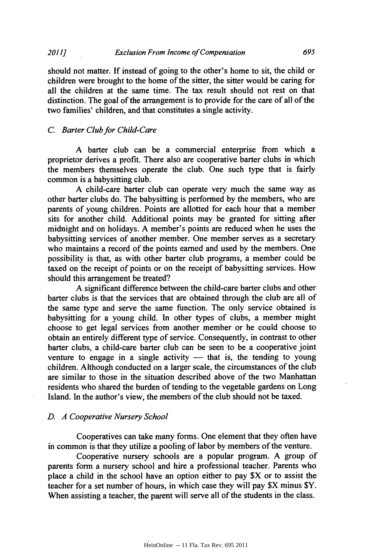should not matter. *If* instead of going to the other's home to sit, the child or children were brought to the home of the sitter, the sitter would be caring for all the children at the same time. The tax result should not rest on that distinction. The goal of the arrangement is to provide for the care of all of the two families' children, and that constitutes a single activity.

#### *C Barter Club for Child-Care*

**A** barter club can be a commercial enterprise from which a proprietor derives a profit. There also are cooperative barter clubs in which the members themselves operate the club. One such type that is fairly common is a babysitting club.

**A** child-care barter club can operate very much the same way as other barter clubs do. The babysitting is performed **by** the members, who are parents of young children. Points are allotted for each hour that a member sits for another child. Additional points may be granted for sitting after midnight and on holidays. **A** member's points are reduced when he uses the babysitting services of another member. One member serves as a secretary who maintains a record of the points earned and used **by** the members. One possibility is that, as with other barter club programs, a member could be taxed on the receipt of points or on the receipt of babysitting services. How should this arrangement be treated?

**A** significant difference between the child-care barter clubs and other barter clubs is that the services that are obtained through the club are all of the same type and serve the same function. The only service obtained is babysitting for a young child. In other types of clubs, a member might choose to get legal services from another member or he could choose to obtain an entirely different type of service. Consequently, in contrast to other barter clubs, a child-care barter club can be seen to be a cooperative joint venture to engage in a single activity - that is, the tending to young children. Although conducted on a larger scale, the circumstances of the club are similar to those in the situation described above of the two Manhattan residents who shared the burden of tending to the vegetable gardens on Long Island. In the author's view, the members of the club should not be taxed.

#### *D. A Cooperative Nursery School*

Cooperatives can take many forms. One element that they often have in common is that they utilize a pooling of labor **by** members of the venture.

Cooperative nursery schools are a popular program. **A** group **of** parents form a nursery school and hire a professional teacher. Parents who place a child in the school have an option either to pay \$X or to assist the teacher for a set number of hours, in which case they will pay \$X minus \$Y. When assisting a teacher, the parent will serve all of the students in the class.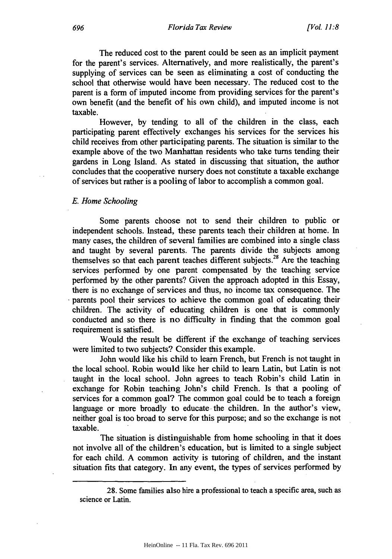The reduced cost to the parent could be seen as an implicit payment for the parent's services. Alternatively, and more realistically, the parent's supplying of services can be seen as eliminating a cost of conducting the school that otherwise would have been necessary. The reduced cost to the parent is a form of imputed income from providing services for the parent's own benefit (and the benefit of his own child), and imputed income is not taxable.

However, **by** tending to all of the children in the class, each participating parent effectively exchanges his services for the services his child receives from other participating parents. The situation is similar to the example above of the two Manhattan residents who take turns tending their gardens in Long Island. As stated in discussing that situation, the author concludes that the cooperative nursery does not constitute a taxable exchange of services but rather is a pooling of labor to accomplish a common goal.

*E. Home Schooling*

Some parents choose not to send their children to public or independent schools. Instead, these parents teach their children at home. In many cases, the children of several families are combined into a single class and taught **by** several parents. The parents divide the subjects among themselves so that each parent teaches different subjects. 28 Are the teaching services performed **by** one parent compensated **by** the teaching service performed **by** the other parents? Given the approach adopted in this Essay, there is no exchange of services and thus, no income tax consequence. The parents pool their services to achieve the common goal of educating their children. The activity of educating children is one that is commonly conducted and so there is no difficulty in finding that the common goal requirement is satisfied.

Would the result be different if the exchange of teaching services were limited to two subjects? Consider this example.

John would like his child to learn French, but French is not taught in the local school. Robin would like her child to learn Latin, but Latin is not taught in the local school. John agrees to teach Robin's child Latin in exchange for Robin teaching John's child French. Is that a pooling of services for a common goal? The common goal could be to teach a foreign language or more broadly to educate- the children. In the author's view, neither goal is too broad to serve for this purpose; and so the exchange is not taxable.

The situation is distinguishable from home schooling in that it does not involve all of the children's education, but is limited to a single subject for each child. **A** common activity is tutoring of children, and the instant situation fits that category. In any event, the types of services performed **by**

**<sup>28.</sup>** Some families also hire a professional to teach a specific area, such as science or Latin.